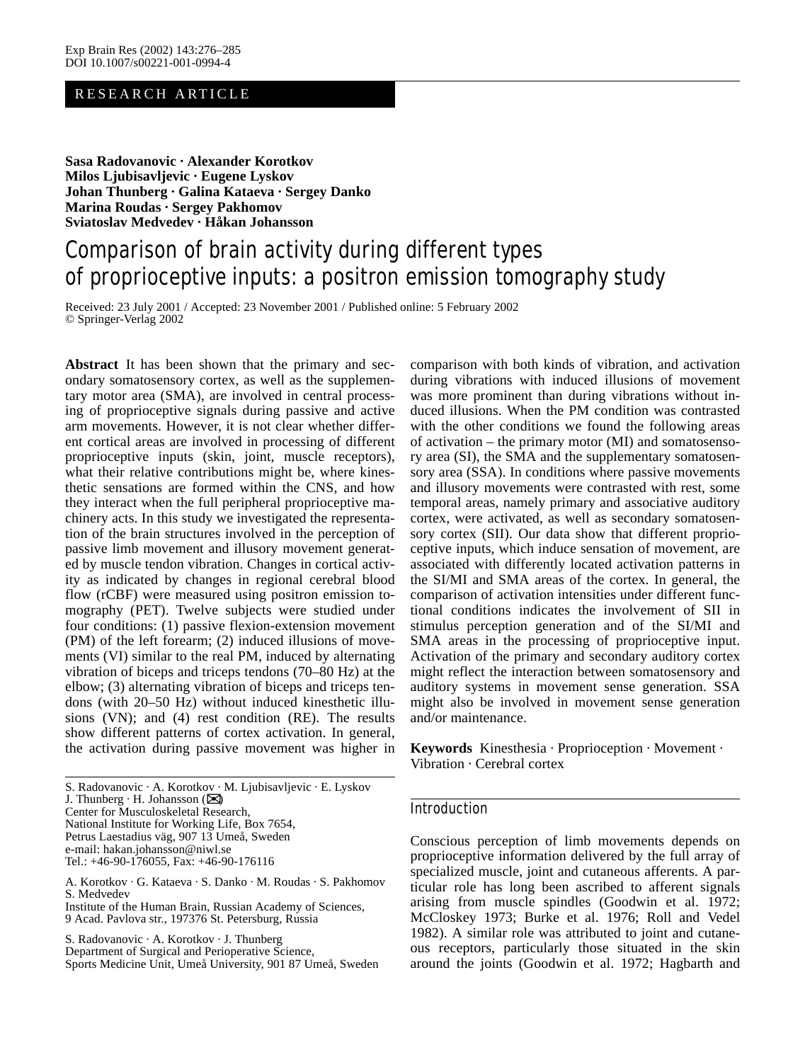# RESEARCH ARTICLE

**Sasa Radovanovic · Alexander Korotkov Milos Ljubisavljevic · Eugene Lyskov Johan Thunberg · Galina Kataeva · Sergey Danko Marina Roudas · Sergey Pakhomov Sviatoslav Medvedev · Håkan Johansson**

# Comparison of brain activity during different types of proprioceptive inputs: a positron emission tomography study

Received: 23 July 2001 / Accepted: 23 November 2001 / Published online: 5 February 2002 © Springer-Verlag 2002

**Abstract** It has been shown that the primary and secondary somatosensory cortex, as well as the supplementary motor area (SMA), are involved in central processing of proprioceptive signals during passive and active arm movements. However, it is not clear whether different cortical areas are involved in processing of different proprioceptive inputs (skin, joint, muscle receptors), what their relative contributions might be, where kinesthetic sensations are formed within the CNS, and how they interact when the full peripheral proprioceptive machinery acts. In this study we investigated the representation of the brain structures involved in the perception of passive limb movement and illusory movement generated by muscle tendon vibration. Changes in cortical activity as indicated by changes in regional cerebral blood flow (rCBF) were measured using positron emission tomography (PET). Twelve subjects were studied under four conditions: (1) passive flexion-extension movement (PM) of the left forearm; (2) induced illusions of movements (VI) similar to the real PM, induced by alternating vibration of biceps and triceps tendons (70–80 Hz) at the elbow; (3) alternating vibration of biceps and triceps tendons (with 20–50 Hz) without induced kinesthetic illusions (VN); and (4) rest condition (RE). The results show different patterns of cortex activation. In general, the activation during passive movement was higher in

National Institute for Working Life, Box 7654,

Petrus Laestadius väg, 907 13 Umeå, Sweden

e-mail: hakan.johansson@niwl.se

Tel.: +46-90-176055, Fax: +46-90-176116

A. Korotkov · G. Kataeva · S. Danko · M. Roudas · S. Pakhomov S. Medvedev

Institute of the Human Brain, Russian Academy of Sciences, 9 Acad. Pavlova str., 197376 St. Petersburg, Russia

S. Radovanovic · A. Korotkov · J. Thunberg

Department of Surgical and Perioperative Science,

Sports Medicine Unit, Umeå University, 901 87 Umeå, Sweden

comparison with both kinds of vibration, and activation during vibrations with induced illusions of movement was more prominent than during vibrations without induced illusions. When the PM condition was contrasted with the other conditions we found the following areas of activation – the primary motor (MI) and somatosensory area (SI), the SMA and the supplementary somatosensory area (SSA). In conditions where passive movements and illusory movements were contrasted with rest, some temporal areas, namely primary and associative auditory cortex, were activated, as well as secondary somatosensory cortex (SII). Our data show that different proprioceptive inputs, which induce sensation of movement, are associated with differently located activation patterns in the SI/MI and SMA areas of the cortex. In general, the comparison of activation intensities under different functional conditions indicates the involvement of SII in stimulus perception generation and of the SI/MI and SMA areas in the processing of proprioceptive input. Activation of the primary and secondary auditory cortex might reflect the interaction between somatosensory and auditory systems in movement sense generation. SSA might also be involved in movement sense generation and/or maintenance.

**Keywords** Kinesthesia · Proprioception · Movement · Vibration · Cerebral cortex

# Introduction

Conscious perception of limb movements depends on proprioceptive information delivered by the full array of specialized muscle, joint and cutaneous afferents. A particular role has long been ascribed to afferent signals arising from muscle spindles (Goodwin et al. 1972; McCloskey 1973; Burke et al. 1976; Roll and Vedel 1982). A similar role was attributed to joint and cutaneous receptors, particularly those situated in the skin around the joints (Goodwin et al. 1972; Hagbarth and

S. Radovanovic · A. Korotkov · M. Ljubisavljevic · E. Lyskov J. Thunberg  $\cdot$  H. Johansson ( $\boxtimes$ ) Center for Musculoskeletal Research,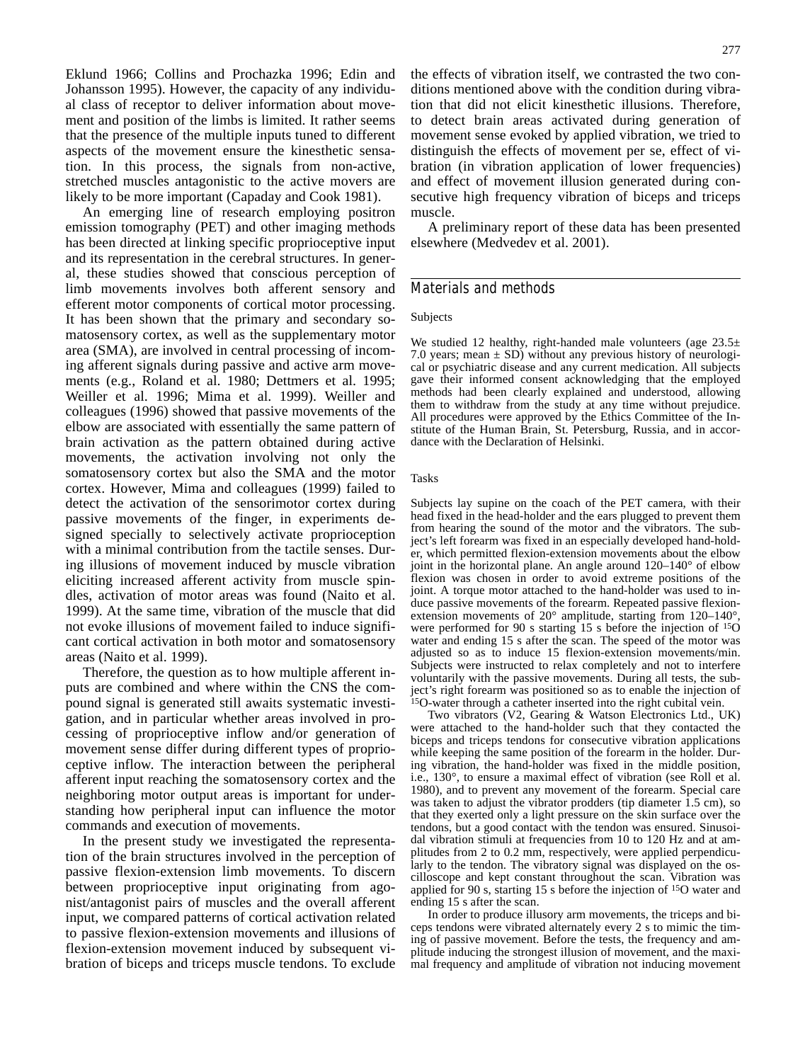Eklund 1966; Collins and Prochazka 1996; Edin and Johansson 1995). However, the capacity of any individual class of receptor to deliver information about movement and position of the limbs is limited. It rather seems that the presence of the multiple inputs tuned to different aspects of the movement ensure the kinesthetic sensation. In this process, the signals from non-active, stretched muscles antagonistic to the active movers are likely to be more important (Capaday and Cook 1981).

An emerging line of research employing positron emission tomography (PET) and other imaging methods has been directed at linking specific proprioceptive input and its representation in the cerebral structures. In general, these studies showed that conscious perception of limb movements involves both afferent sensory and efferent motor components of cortical motor processing. It has been shown that the primary and secondary somatosensory cortex, as well as the supplementary motor area (SMA), are involved in central processing of incoming afferent signals during passive and active arm movements (e.g., Roland et al. 1980; Dettmers et al. 1995; Weiller et al. 1996; Mima et al. 1999). Weiller and colleagues (1996) showed that passive movements of the elbow are associated with essentially the same pattern of brain activation as the pattern obtained during active movements, the activation involving not only the somatosensory cortex but also the SMA and the motor cortex. However, Mima and colleagues (1999) failed to detect the activation of the sensorimotor cortex during passive movements of the finger, in experiments designed specially to selectively activate proprioception with a minimal contribution from the tactile senses. During illusions of movement induced by muscle vibration eliciting increased afferent activity from muscle spindles, activation of motor areas was found (Naito et al. 1999). At the same time, vibration of the muscle that did not evoke illusions of movement failed to induce significant cortical activation in both motor and somatosensory areas (Naito et al. 1999).

Therefore, the question as to how multiple afferent inputs are combined and where within the CNS the compound signal is generated still awaits systematic investigation, and in particular whether areas involved in processing of proprioceptive inflow and/or generation of movement sense differ during different types of proprioceptive inflow. The interaction between the peripheral afferent input reaching the somatosensory cortex and the neighboring motor output areas is important for understanding how peripheral input can influence the motor commands and execution of movements.

In the present study we investigated the representation of the brain structures involved in the perception of passive flexion-extension limb movements. To discern between proprioceptive input originating from agonist/antagonist pairs of muscles and the overall afferent input, we compared patterns of cortical activation related to passive flexion-extension movements and illusions of flexion-extension movement induced by subsequent vibration of biceps and triceps muscle tendons. To exclude the effects of vibration itself, we contrasted the two conditions mentioned above with the condition during vibration that did not elicit kinesthetic illusions. Therefore, to detect brain areas activated during generation of movement sense evoked by applied vibration, we tried to distinguish the effects of movement per se, effect of vibration (in vibration application of lower frequencies) and effect of movement illusion generated during consecutive high frequency vibration of biceps and triceps muscle.

A preliminary report of these data has been presented elsewhere (Medvedev et al. 2001).

# Materials and methods

Subjects

We studied 12 healthy, right-handed male volunteers (age  $23.5\pm$ 7.0 years; mean  $\pm$  SD) without any previous history of neurological or psychiatric disease and any current medication. All subjects gave their informed consent acknowledging that the employed methods had been clearly explained and understood, allowing them to withdraw from the study at any time without prejudice. All procedures were approved by the Ethics Committee of the Institute of the Human Brain, St. Petersburg, Russia, and in accordance with the Declaration of Helsinki.

### Tasks

Subjects lay supine on the coach of the PET camera, with their head fixed in the head-holder and the ears plugged to prevent them from hearing the sound of the motor and the vibrators. The subject's left forearm was fixed in an especially developed hand-holder, which permitted flexion-extension movements about the elbow joint in the horizontal plane. An angle around 120–140° of elbow flexion was chosen in order to avoid extreme positions of the joint. A torque motor attached to the hand-holder was used to induce passive movements of the forearm. Repeated passive flexionextension movements of 20° amplitude, starting from 120–140°, were performed for 90 s starting 15 s before the injection of 15O water and ending 15 s after the scan. The speed of the motor was adjusted so as to induce 15 flexion-extension movements/min. Subjects were instructed to relax completely and not to interfere voluntarily with the passive movements. During all tests, the subject's right forearm was positioned so as to enable the injection of 15O-water through a catheter inserted into the right cubital vein.

Two vibrators (V2, Gearing & Watson Electronics Ltd., UK) were attached to the hand-holder such that they contacted the biceps and triceps tendons for consecutive vibration applications while keeping the same position of the forearm in the holder. During vibration, the hand-holder was fixed in the middle position, i.e., 130°, to ensure a maximal effect of vibration (see Roll et al. 1980), and to prevent any movement of the forearm. Special care was taken to adjust the vibrator prodders (tip diameter  $1.5 \text{ cm}$ ), so that they exerted only a light pressure on the skin surface over the tendons, but a good contact with the tendon was ensured. Sinusoidal vibration stimuli at frequencies from 10 to 120 Hz and at amplitudes from 2 to 0.2 mm, respectively, were applied perpendicularly to the tendon. The vibratory signal was displayed on the oscilloscope and kept constant throughout the scan. Vibration was applied for 90 s, starting 15 s before the injection of <sup>15</sup>O water and ending 15 s after the scan.

In order to produce illusory arm movements, the triceps and biceps tendons were vibrated alternately every 2 s to mimic the timing of passive movement. Before the tests, the frequency and amplitude inducing the strongest illusion of movement, and the maximal frequency and amplitude of vibration not inducing movement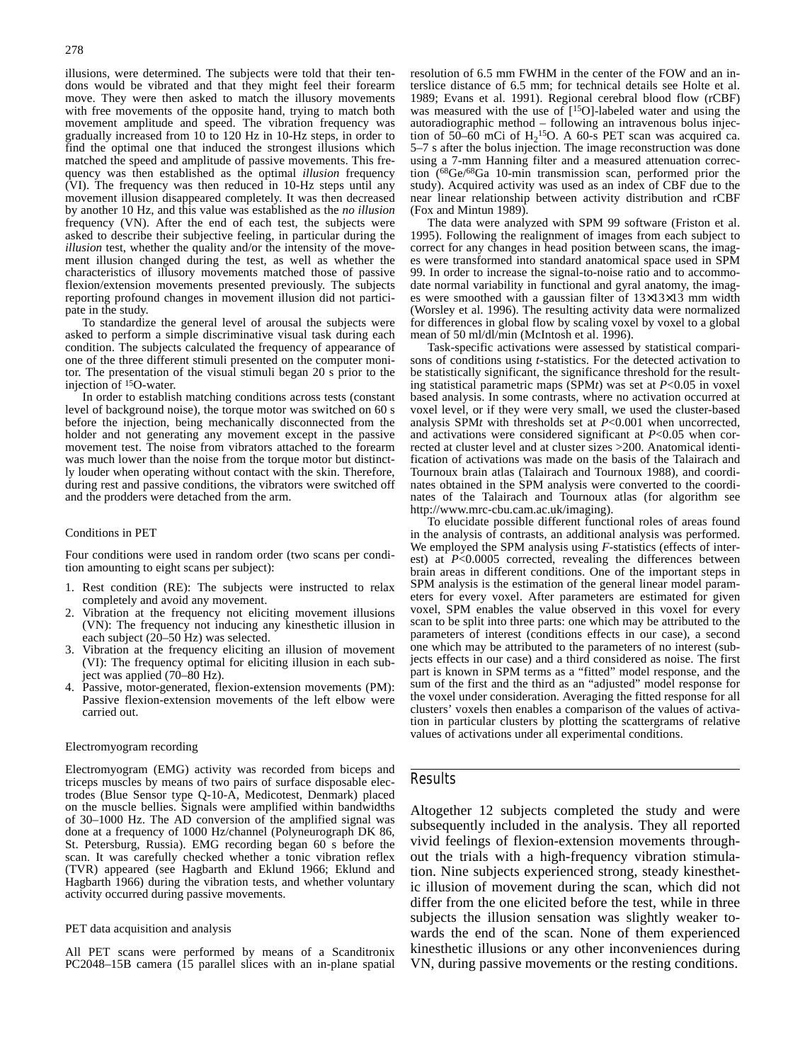illusions, were determined. The subjects were told that their tendons would be vibrated and that they might feel their forearm move. They were then asked to match the illusory movements with free movements of the opposite hand, trying to match both movement amplitude and speed. The vibration frequency was gradually increased from 10 to 120 Hz in 10-Hz steps, in order to find the optimal one that induced the strongest illusions which matched the speed and amplitude of passive movements. This frequency was then established as the optimal *illusion* frequency (VI). The frequency was then reduced in 10-Hz steps until any movement illusion disappeared completely. It was then decreased by another 10 Hz, and this value was established as the *no illusion* frequency (VN). After the end of each test, the subjects were asked to describe their subjective feeling, in particular during the *illusion* test, whether the quality and/or the intensity of the movement illusion changed during the test, as well as whether the characteristics of illusory movements matched those of passive flexion/extension movements presented previously. The subjects reporting profound changes in movement illusion did not participate in the study.

To standardize the general level of arousal the subjects were asked to perform a simple discriminative visual task during each condition. The subjects calculated the frequency of appearance of one of the three different stimuli presented on the computer monitor. The presentation of the visual stimuli began 20 s prior to the injection of 15O-water.

In order to establish matching conditions across tests (constant level of background noise), the torque motor was switched on 60 s before the injection, being mechanically disconnected from the holder and not generating any movement except in the passive movement test. The noise from vibrators attached to the forearm was much lower than the noise from the torque motor but distinctly louder when operating without contact with the skin. Therefore, during rest and passive conditions, the vibrators were switched off and the prodders were detached from the arm.

#### Conditions in PET

Four conditions were used in random order (two scans per condition amounting to eight scans per subject):

- 1. Rest condition (RE): The subjects were instructed to relax completely and avoid any movement.
- 2. Vibration at the frequency not eliciting movement illusions (VN): The frequency not inducing any kinesthetic illusion in each subject (20–50 Hz) was selected.
- 3. Vibration at the frequency eliciting an illusion of movement (VI): The frequency optimal for eliciting illusion in each subject was applied (70–80 Hz).
- 4. Passive, motor-generated, flexion-extension movements (PM): Passive flexion-extension movements of the left elbow were carried out.

#### Electromyogram recording

Electromyogram (EMG) activity was recorded from biceps and triceps muscles by means of two pairs of surface disposable electrodes (Blue Sensor type Q-10-A, Medicotest, Denmark) placed on the muscle bellies. Signals were amplified within bandwidths of 30–1000 Hz. The AD conversion of the amplified signal was done at a frequency of 1000 Hz/channel (Polyneurograph DK 86, St. Petersburg, Russia). EMG recording began 60 s before the scan. It was carefully checked whether a tonic vibration reflex (TVR) appeared (see Hagbarth and Eklund 1966; Eklund and Hagbarth 1966) during the vibration tests, and whether voluntary activity occurred during passive movements.

#### PET data acquisition and analysis

All PET scans were performed by means of a Scanditronix PC2048–15B camera (15 parallel slices with an in-plane spatial resolution of 6.5 mm FWHM in the center of the FOW and an interslice distance of 6.5 mm; for technical details see Holte et al. 1989; Evans et al. 1991). Regional cerebral blood flow (rCBF) was measured with the use of [<sup>15</sup>O]-labeled water and using the autoradiographic method – following an intravenous bolus injection of 50–60 mCi of  $H_2$ <sup>15</sup>O. A 60-s PET scan was acquired ca. 5–7 s after the bolus injection. The image reconstruction was done using a 7-mm Hanning filter and a measured attenuation correction (68Ge/68Ga 10-min transmission scan, performed prior the study). Acquired activity was used as an index of CBF due to the near linear relationship between activity distribution and rCBF (Fox and Mintun 1989).

The data were analyzed with SPM 99 software (Friston et al. 1995). Following the realignment of images from each subject to correct for any changes in head position between scans, the images were transformed into standard anatomical space used in SPM 99. In order to increase the signal-to-noise ratio and to accommodate normal variability in functional and gyral anatomy, the images were smoothed with a gaussian filter of 13×13×13 mm width (Worsley et al. 1996). The resulting activity data were normalized for differences in global flow by scaling voxel by voxel to a global mean of 50 ml/dl/min (McIntosh et al. 1996).

Task-specific activations were assessed by statistical comparisons of conditions using *t*-statistics. For the detected activation to be statistically significant, the significance threshold for the resulting statistical parametric maps (SPM*t*) was set at *P*<0.05 in voxel based analysis. In some contrasts, where no activation occurred at voxel level, or if they were very small, we used the cluster-based analysis SPM*t* with thresholds set at *P*<0.001 when uncorrected, and activations were considered significant at *P*<0.05 when corrected at cluster level and at cluster sizes >200. Anatomical identification of activations was made on the basis of the Talairach and Tournoux brain atlas (Talairach and Tournoux 1988), and coordinates obtained in the SPM analysis were converted to the coordinates of the Talairach and Tournoux atlas (for algorithm see http://www.mrc-cbu.cam.ac.uk/imaging).

To elucidate possible different functional roles of areas found in the analysis of contrasts, an additional analysis was performed. We employed the SPM analysis using *F*-statistics (effects of interest) at *P*<0.0005 corrected, revealing the differences between brain areas in different conditions. One of the important steps in SPM analysis is the estimation of the general linear model parameters for every voxel. After parameters are estimated for given voxel, SPM enables the value observed in this voxel for every scan to be split into three parts: one which may be attributed to the parameters of interest (conditions effects in our case), a second one which may be attributed to the parameters of no interest (subjects effects in our case) and a third considered as noise. The first part is known in SPM terms as a "fitted" model response, and the sum of the first and the third as an "adjusted" model response for the voxel under consideration. Averaging the fitted response for all clusters' voxels then enables a comparison of the values of activation in particular clusters by plotting the scattergrams of relative values of activations under all experimental conditions.

#### Results

Altogether 12 subjects completed the study and were subsequently included in the analysis. They all reported vivid feelings of flexion-extension movements throughout the trials with a high-frequency vibration stimulation. Nine subjects experienced strong, steady kinesthetic illusion of movement during the scan, which did not differ from the one elicited before the test, while in three subjects the illusion sensation was slightly weaker towards the end of the scan. None of them experienced kinesthetic illusions or any other inconveniences during VN, during passive movements or the resting conditions.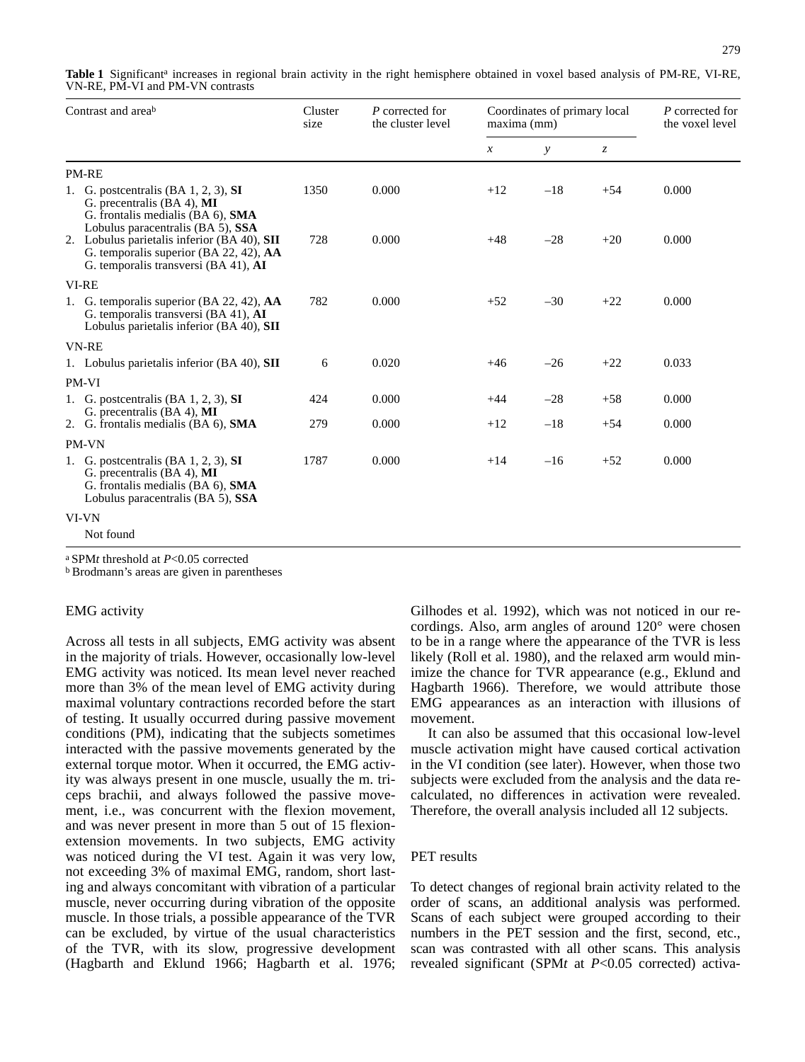| Contrast and area <sup>b</sup> |                                                                                                                                                                    | Cluster<br>size | P corrected for<br>the cluster level | Coordinates of primary local<br>maxima (mm) |               |       | P corrected for<br>the voxel level |
|--------------------------------|--------------------------------------------------------------------------------------------------------------------------------------------------------------------|-----------------|--------------------------------------|---------------------------------------------|---------------|-------|------------------------------------|
|                                |                                                                                                                                                                    |                 |                                      | $\mathcal{X}$                               | $\mathcal{Y}$ | Z     |                                    |
|                                | PM-RE                                                                                                                                                              |                 |                                      |                                             |               |       |                                    |
|                                | 1. G. postcentralis $(BA 1, 2, 3)$ , SI<br>G. precentralis (BA 4), MI<br>G. frontalis medialis (BA 6), <b>SMA</b>                                                  | 1350            | 0.000                                | $+12$                                       | $-18$         | $+54$ | 0.000                              |
|                                | Lobulus paracentralis (BA 5), SSA<br>2. Lobulus parietalis inferior (BA 40), SII<br>G. temporalis superior (BA 22, 42), AA<br>G. temporalis transversi (BA 41), AI | 728             | 0.000                                | $+48$                                       | $-28$         | $+20$ | 0.000                              |
|                                | <b>VI-RE</b>                                                                                                                                                       |                 |                                      |                                             |               |       |                                    |
|                                | 1. G. temporalis superior (BA 22, 42), AA<br>G. temporalis transversi (BA 41), AI<br>Lobulus parietalis inferior (BA 40), SII                                      | 782             | 0.000                                | $+52$                                       | $-30$         | $+22$ | 0.000                              |
|                                | <b>VN-RE</b>                                                                                                                                                       |                 |                                      |                                             |               |       |                                    |
|                                | 1. Lobulus parietalis inferior (BA 40), SII                                                                                                                        | 6               | 0.020                                | $+46$                                       | $-26$         | $+22$ | 0.033                              |
|                                | PM-VI                                                                                                                                                              |                 |                                      |                                             |               |       |                                    |
|                                | 1. G. postcentralis $(BA 1, 2, 3)$ , SI<br>G. precentralis (BA 4), MI                                                                                              | 424             | 0.000                                | $+44$                                       | $-28$         | $+58$ | 0.000                              |
|                                | 2. G. frontalis medialis (BA 6), <b>SMA</b>                                                                                                                        | 279             | 0.000                                | $+12$                                       | $-18$         | $+54$ | 0.000                              |
|                                | PM-VN                                                                                                                                                              |                 |                                      |                                             |               |       |                                    |
|                                | 1. G. postcentralis $(BA 1, 2, 3)$ , SI<br>G. precentralis (BA 4), MI<br>G. frontalis medialis (BA 6), <b>SMA</b><br>Lobulus paracentralis (BA 5), SSA             | 1787            | 0.000                                | $+14$                                       | $-16$         | $+52$ | 0.000                              |
|                                | VI-VN                                                                                                                                                              |                 |                                      |                                             |               |       |                                    |
|                                | Not found                                                                                                                                                          |                 |                                      |                                             |               |       |                                    |

**Table 1** Significanta increases in regional brain activity in the right hemisphere obtained in voxel based analysis of PM-RE, VI-RE, VN-RE, PM-VI and PM-VN contrasts

<sup>a</sup> SPM*t* threshold at *P*<0.05 corrected

<sup>b</sup> Brodmann's areas are given in parentheses

## EMG activity

Across all tests in all subjects, EMG activity was absent in the majority of trials. However, occasionally low-level EMG activity was noticed. Its mean level never reached more than 3% of the mean level of EMG activity during maximal voluntary contractions recorded before the start of testing. It usually occurred during passive movement conditions (PM), indicating that the subjects sometimes interacted with the passive movements generated by the external torque motor. When it occurred, the EMG activity was always present in one muscle, usually the m. triceps brachii, and always followed the passive movement, i.e., was concurrent with the flexion movement, and was never present in more than 5 out of 15 flexionextension movements. In two subjects, EMG activity was noticed during the VI test. Again it was very low, not exceeding 3% of maximal EMG, random, short lasting and always concomitant with vibration of a particular muscle, never occurring during vibration of the opposite muscle. In those trials, a possible appearance of the TVR can be excluded, by virtue of the usual characteristics of the TVR, with its slow, progressive development (Hagbarth and Eklund 1966; Hagbarth et al. 1976; Gilhodes et al. 1992), which was not noticed in our recordings. Also, arm angles of around 120° were chosen to be in a range where the appearance of the TVR is less likely (Roll et al. 1980), and the relaxed arm would minimize the chance for TVR appearance (e.g., Eklund and Hagbarth 1966). Therefore, we would attribute those EMG appearances as an interaction with illusions of movement.

It can also be assumed that this occasional low-level muscle activation might have caused cortical activation in the VI condition (see later). However, when those two subjects were excluded from the analysis and the data recalculated, no differences in activation were revealed. Therefore, the overall analysis included all 12 subjects.

## PET results

To detect changes of regional brain activity related to the order of scans, an additional analysis was performed. Scans of each subject were grouped according to their numbers in the PET session and the first, second, etc., scan was contrasted with all other scans. This analysis revealed significant (SPM*t* at *P*<0.05 corrected) activa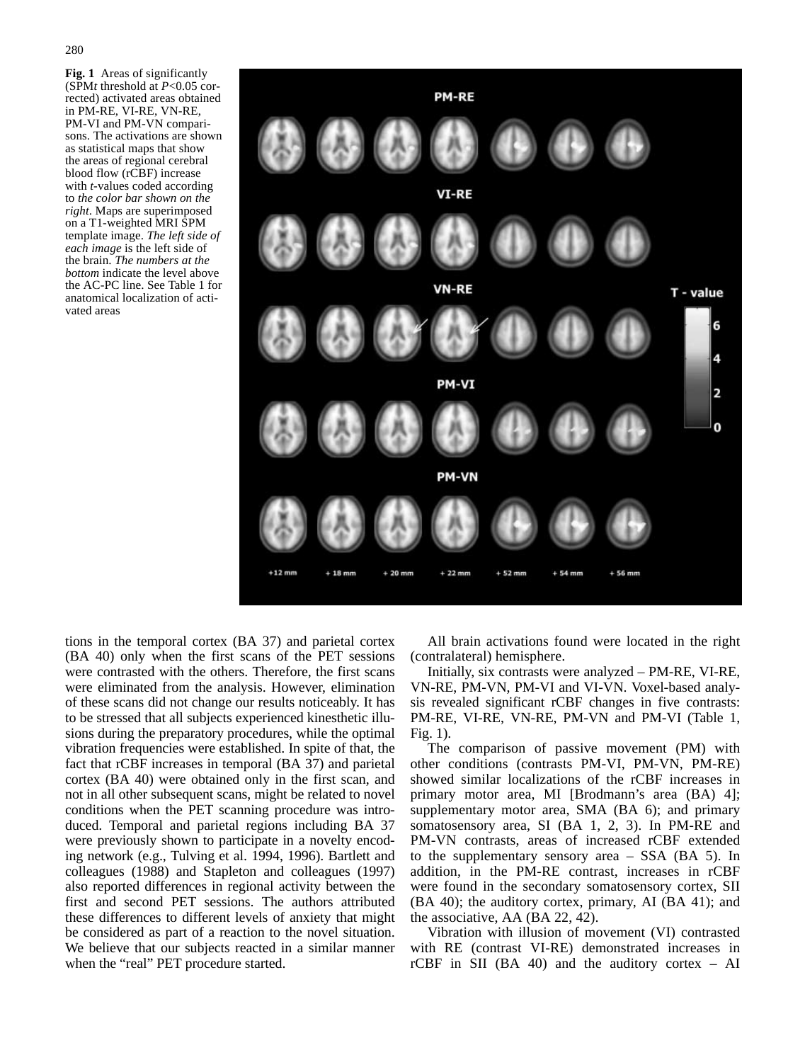**Fig. 1** Areas of significantly (SPM*t* threshold at *P*<0.05 corrected) activated areas obtained in PM-RE, VI-RE, VN-RE, PM-VI and PM-VN comparisons. The activations are shown as statistical maps that show the areas of regional cerebral blood flow (rCBF) increase with *t*-values coded according to *the color bar shown on the right*. Maps are superimposed on a T1-weighted MRI SPM template image. *The left side of each image* is the left side of the brain. *The numbers at the bottom* indicate the level above the AC-PC line. See Table 1 for anatomical localization of activated areas



tions in the temporal cortex (BA 37) and parietal cortex (BA 40) only when the first scans of the PET sessions were contrasted with the others. Therefore, the first scans were eliminated from the analysis. However, elimination of these scans did not change our results noticeably. It has to be stressed that all subjects experienced kinesthetic illusions during the preparatory procedures, while the optimal vibration frequencies were established. In spite of that, the fact that rCBF increases in temporal (BA 37) and parietal cortex (BA 40) were obtained only in the first scan, and not in all other subsequent scans, might be related to novel conditions when the PET scanning procedure was introduced. Temporal and parietal regions including BA 37 were previously shown to participate in a novelty encoding network (e.g., Tulving et al. 1994, 1996). Bartlett and colleagues (1988) and Stapleton and colleagues (1997) also reported differences in regional activity between the first and second PET sessions. The authors attributed these differences to different levels of anxiety that might be considered as part of a reaction to the novel situation. We believe that our subjects reacted in a similar manner when the "real" PET procedure started.

All brain activations found were located in the right (contralateral) hemisphere.

Initially, six contrasts were analyzed – PM-RE, VI-RE, VN-RE, PM-VN, PM-VI and VI-VN. Voxel-based analysis revealed significant rCBF changes in five contrasts: PM-RE, VI-RE, VN-RE, PM-VN and PM-VI (Table 1, Fig. 1).

The comparison of passive movement (PM) with other conditions (contrasts PM-VI, PM-VN, PM-RE) showed similar localizations of the rCBF increases in primary motor area, MI [Brodmann's area (BA) 4]; supplementary motor area, SMA (BA 6); and primary somatosensory area, SI (BA 1, 2, 3). In PM-RE and PM-VN contrasts, areas of increased rCBF extended to the supplementary sensory area – SSA (BA 5). In addition, in the PM-RE contrast, increases in rCBF were found in the secondary somatosensory cortex, SII (BA 40); the auditory cortex, primary, AI (BA 41); and the associative, AA (BA 22, 42).

Vibration with illusion of movement (VI) contrasted with RE (contrast VI-RE) demonstrated increases in rCBF in SII (BA 40) and the auditory cortex – AI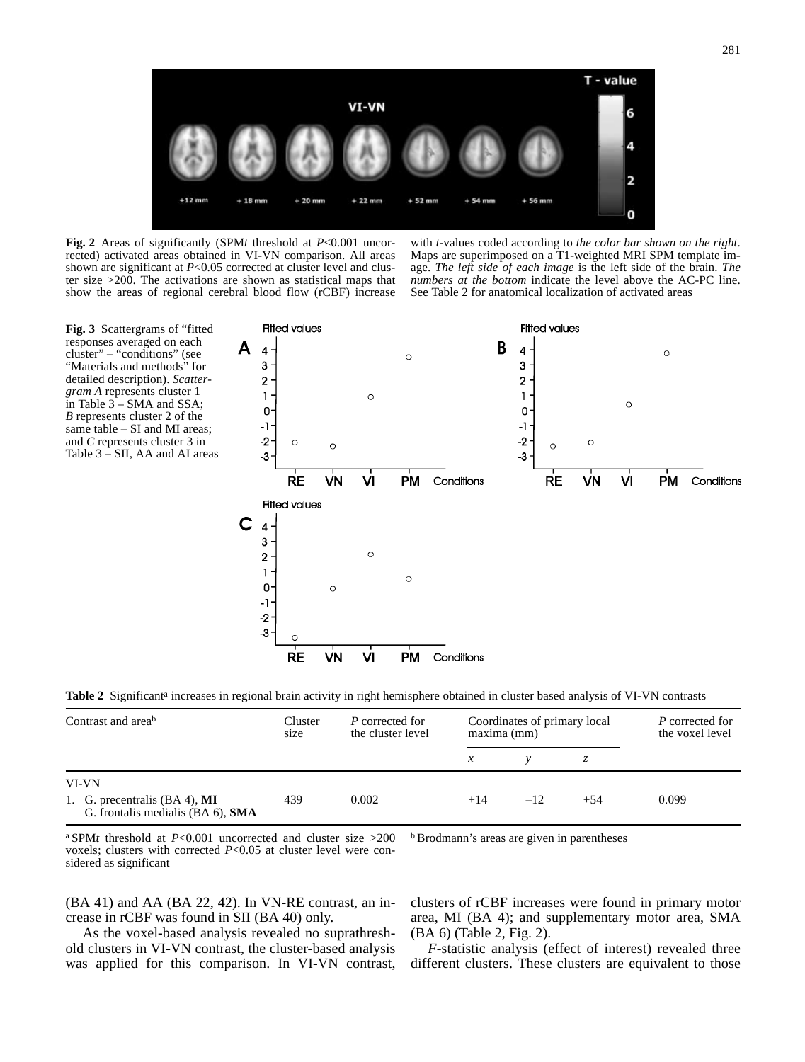

**Fig. 2** Areas of significantly (SPM*t* threshold at *P*<0.001 uncorrected) activated areas obtained in VI-VN comparison. All areas shown are significant at *P*<0.05 corrected at cluster level and cluster size >200. The activations are shown as statistical maps that show the areas of regional cerebral blood flow (rCBF) increase

with *t*-values coded according to *the color bar shown on the right*. Maps are superimposed on a T1-weighted MRI SPM template image. *The left side of each image* is the left side of the brain. *The numbers at the bottom* indicate the level above the AC-PC line. See Table 2 for anatomical localization of activated areas

**Fig. 3** Scattergrams of "fitted responses averaged on each cluster" – "conditions" (see "Materials and methods" for detailed description). *Scattergram A* represents cluster 1 in Table  $3 - SMA$  and SSA; *B* represents cluster 2 of the same table – SI and MI areas; and *C* represents cluster 3 in Table 3 – SII, AA and AI areas



Table 2 Significant<sup>a</sup> increases in regional brain activity in right hemisphere obtained in cluster based analysis of VI-VN contrasts

| Contrast and area <sup>b</sup> |                                                                           | Cluster<br>size | P corrected for<br>the cluster level<br>maxima (mm) |       | Coordinates of primary local |       | P corrected for<br>the voxel level |
|--------------------------------|---------------------------------------------------------------------------|-----------------|-----------------------------------------------------|-------|------------------------------|-------|------------------------------------|
|                                |                                                                           |                 | x                                                   |       |                              |       |                                    |
|                                | VI-VN                                                                     |                 |                                                     |       |                              |       |                                    |
|                                | 1. G. precentralis (BA 4), MI<br>G. frontalis medialis (BA 6), <b>SMA</b> | 439             | 0.002                                               | $+14$ | $-12$                        | $+54$ | 0.099                              |

<sup>a</sup> SPM*t* threshold at *P*<0.001 uncorrected and cluster size >200 voxels; clusters with corrected *P*<0.05 at cluster level were considered as significant

<sup>b</sup> Brodmann's areas are given in parentheses

(BA 41) and AA (BA 22, 42). In VN-RE contrast, an increase in rCBF was found in SII (BA 40) only.

As the voxel-based analysis revealed no suprathreshold clusters in VI-VN contrast, the cluster-based analysis was applied for this comparison. In VI-VN contrast,

clusters of rCBF increases were found in primary motor area, MI (BA 4); and supplementary motor area, SMA (BA 6) (Table 2, Fig. 2).

*F*-statistic analysis (effect of interest) revealed three different clusters. These clusters are equivalent to those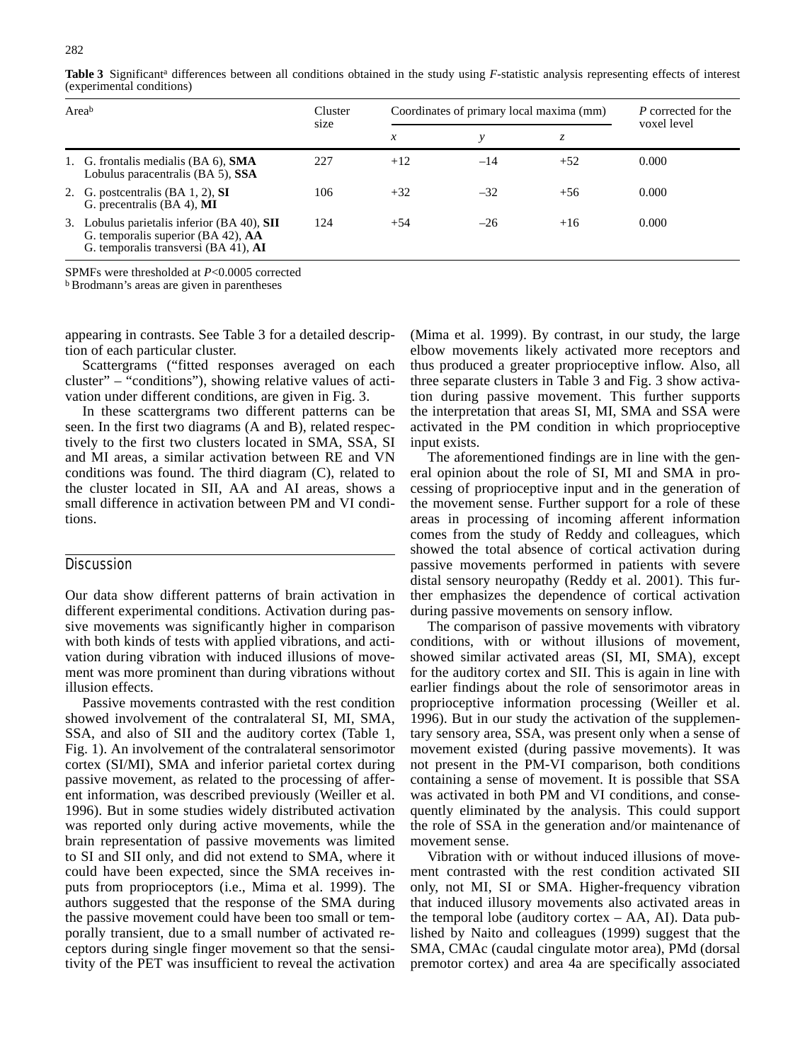| Areab |                                                                                                                                  | Cluster<br>size | Coordinates of primary local maxima (mm) |       |       | P corrected for the<br>voxel level |
|-------|----------------------------------------------------------------------------------------------------------------------------------|-----------------|------------------------------------------|-------|-------|------------------------------------|
|       |                                                                                                                                  |                 | $\mathcal{X}$                            |       | Z.    |                                    |
|       | 1. G. frontalis medialis (BA 6), <b>SMA</b><br>Lobulus paracentralis (BA 5), SSA                                                 | 227             | $+12$                                    | $-14$ | $+52$ | 0.000                              |
|       | 2. G. postcentralis (BA 1, 2), SI<br>G. precentralis (BA 4), MI                                                                  | 106             | $+32$                                    | $-32$ | $+56$ | 0.000                              |
|       | 3. Lobulus parietalis inferior (BA 40), <b>SII</b><br>G. temporalis superior (BA 42), AA<br>G. temporalis transversi (BA 41), AI | 124             | $+54$                                    | $-26$ | $+16$ | 0.000                              |

**Table 3** Significant<sup>a</sup> differences between all conditions obtained in the study using *F*-statistic analysis representing effects of interest (experimental conditions)

SPMFs were thresholded at *P*<0.0005 corrected

<sup>b</sup> Brodmann's areas are given in parentheses

appearing in contrasts. See Table 3 for a detailed description of each particular cluster.

Scattergrams ("fitted responses averaged on each cluster" – "conditions"), showing relative values of activation under different conditions, are given in Fig. 3.

In these scattergrams two different patterns can be seen. In the first two diagrams (A and B), related respectively to the first two clusters located in SMA, SSA, SI and MI areas, a similar activation between RE and VN conditions was found. The third diagram (C), related to the cluster located in SII, AA and AI areas, shows a small difference in activation between PM and VI conditions.

# **Discussion**

Our data show different patterns of brain activation in different experimental conditions. Activation during passive movements was significantly higher in comparison with both kinds of tests with applied vibrations, and activation during vibration with induced illusions of movement was more prominent than during vibrations without illusion effects.

Passive movements contrasted with the rest condition showed involvement of the contralateral SI, MI, SMA, SSA, and also of SII and the auditory cortex (Table 1, Fig. 1). An involvement of the contralateral sensorimotor cortex (SI/MI), SMA and inferior parietal cortex during passive movement, as related to the processing of afferent information, was described previously (Weiller et al. 1996). But in some studies widely distributed activation was reported only during active movements, while the brain representation of passive movements was limited to SI and SII only, and did not extend to SMA, where it could have been expected, since the SMA receives inputs from proprioceptors (i.e., Mima et al. 1999). The authors suggested that the response of the SMA during the passive movement could have been too small or temporally transient, due to a small number of activated receptors during single finger movement so that the sensitivity of the PET was insufficient to reveal the activation

(Mima et al. 1999). By contrast, in our study, the large elbow movements likely activated more receptors and thus produced a greater proprioceptive inflow. Also, all three separate clusters in Table 3 and Fig. 3 show activation during passive movement. This further supports the interpretation that areas SI, MI, SMA and SSA were activated in the PM condition in which proprioceptive input exists.

The aforementioned findings are in line with the general opinion about the role of SI, MI and SMA in processing of proprioceptive input and in the generation of the movement sense. Further support for a role of these areas in processing of incoming afferent information comes from the study of Reddy and colleagues, which showed the total absence of cortical activation during passive movements performed in patients with severe distal sensory neuropathy (Reddy et al. 2001). This further emphasizes the dependence of cortical activation during passive movements on sensory inflow.

The comparison of passive movements with vibratory conditions, with or without illusions of movement, showed similar activated areas (SI, MI, SMA), except for the auditory cortex and SII. This is again in line with earlier findings about the role of sensorimotor areas in proprioceptive information processing (Weiller et al. 1996). But in our study the activation of the supplementary sensory area, SSA, was present only when a sense of movement existed (during passive movements). It was not present in the PM-VI comparison, both conditions containing a sense of movement. It is possible that SSA was activated in both PM and VI conditions, and consequently eliminated by the analysis. This could support the role of SSA in the generation and/or maintenance of movement sense.

Vibration with or without induced illusions of movement contrasted with the rest condition activated SII only, not MI, SI or SMA. Higher-frequency vibration that induced illusory movements also activated areas in the temporal lobe (auditory cortex – AA, AI). Data published by Naito and colleagues (1999) suggest that the SMA, CMAc (caudal cingulate motor area), PMd (dorsal premotor cortex) and area 4a are specifically associated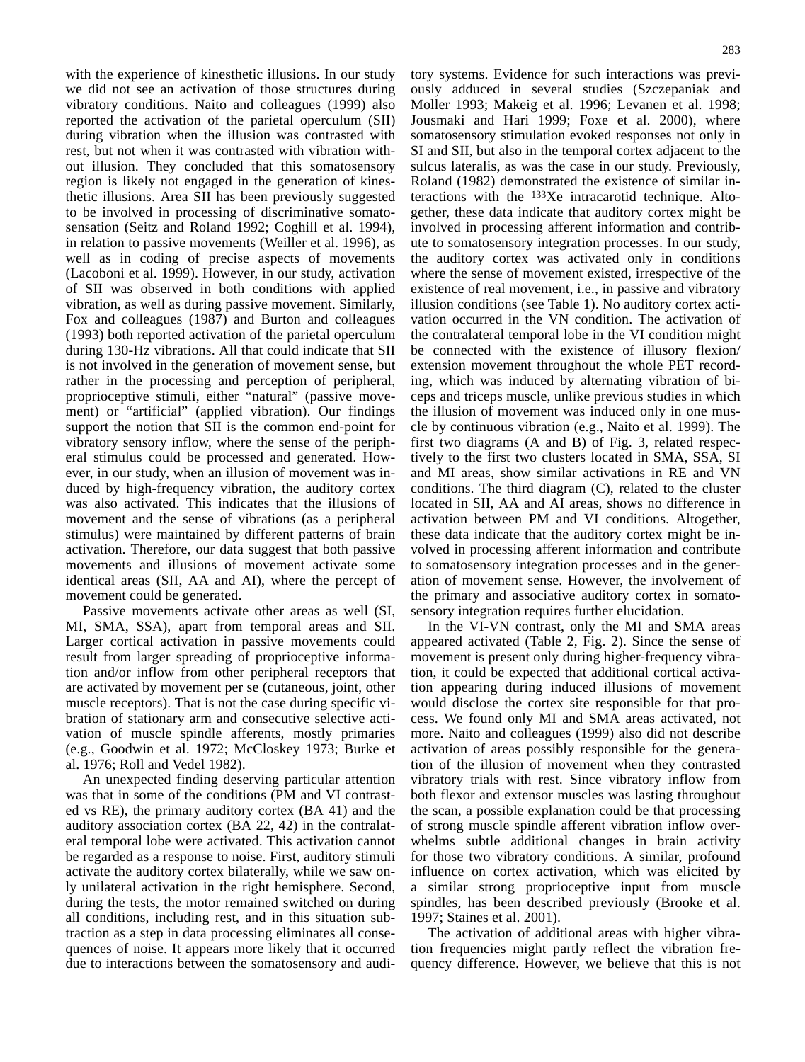with the experience of kinesthetic illusions. In our study we did not see an activation of those structures during vibratory conditions. Naito and colleagues (1999) also reported the activation of the parietal operculum (SII) during vibration when the illusion was contrasted with rest, but not when it was contrasted with vibration without illusion. They concluded that this somatosensory region is likely not engaged in the generation of kinesthetic illusions. Area SII has been previously suggested to be involved in processing of discriminative somatosensation (Seitz and Roland 1992; Coghill et al. 1994), in relation to passive movements (Weiller et al. 1996), as well as in coding of precise aspects of movements (Lacoboni et al. 1999). However, in our study, activation of SII was observed in both conditions with applied vibration, as well as during passive movement. Similarly, Fox and colleagues (1987) and Burton and colleagues (1993) both reported activation of the parietal operculum during 130-Hz vibrations. All that could indicate that SII is not involved in the generation of movement sense, but rather in the processing and perception of peripheral, proprioceptive stimuli, either "natural" (passive movement) or "artificial" (applied vibration). Our findings support the notion that SII is the common end-point for vibratory sensory inflow, where the sense of the peripheral stimulus could be processed and generated. However, in our study, when an illusion of movement was induced by high-frequency vibration, the auditory cortex was also activated. This indicates that the illusions of movement and the sense of vibrations (as a peripheral stimulus) were maintained by different patterns of brain activation. Therefore, our data suggest that both passive movements and illusions of movement activate some identical areas (SII, AA and AI), where the percept of movement could be generated.

Passive movements activate other areas as well (SI, MI, SMA, SSA), apart from temporal areas and SII. Larger cortical activation in passive movements could result from larger spreading of proprioceptive information and/or inflow from other peripheral receptors that are activated by movement per se (cutaneous, joint, other muscle receptors). That is not the case during specific vibration of stationary arm and consecutive selective activation of muscle spindle afferents, mostly primaries (e.g., Goodwin et al. 1972; McCloskey 1973; Burke et al. 1976; Roll and Vedel 1982).

An unexpected finding deserving particular attention was that in some of the conditions (PM and VI contrasted vs RE), the primary auditory cortex (BA 41) and the auditory association cortex (BA 22, 42) in the contralateral temporal lobe were activated. This activation cannot be regarded as a response to noise. First, auditory stimuli activate the auditory cortex bilaterally, while we saw only unilateral activation in the right hemisphere. Second, during the tests, the motor remained switched on during all conditions, including rest, and in this situation subtraction as a step in data processing eliminates all consequences of noise. It appears more likely that it occurred due to interactions between the somatosensory and audi-

tory systems. Evidence for such interactions was previously adduced in several studies (Szczepaniak and Moller 1993; Makeig et al. 1996; Levanen et al. 1998; Jousmaki and Hari 1999; Foxe et al. 2000), where somatosensory stimulation evoked responses not only in SI and SII, but also in the temporal cortex adjacent to the sulcus lateralis, as was the case in our study. Previously, Roland (1982) demonstrated the existence of similar interactions with the 133Xe intracarotid technique. Altogether, these data indicate that auditory cortex might be involved in processing afferent information and contribute to somatosensory integration processes. In our study, the auditory cortex was activated only in conditions where the sense of movement existed, irrespective of the existence of real movement, i.e., in passive and vibratory illusion conditions (see Table 1). No auditory cortex activation occurred in the VN condition. The activation of the contralateral temporal lobe in the VI condition might be connected with the existence of illusory flexion/ extension movement throughout the whole PET recording, which was induced by alternating vibration of biceps and triceps muscle, unlike previous studies in which the illusion of movement was induced only in one muscle by continuous vibration (e.g., Naito et al. 1999). The first two diagrams (A and B) of Fig. 3, related respectively to the first two clusters located in SMA, SSA, SI and MI areas, show similar activations in RE and VN conditions. The third diagram (C), related to the cluster located in SII, AA and AI areas, shows no difference in activation between PM and VI conditions. Altogether, these data indicate that the auditory cortex might be involved in processing afferent information and contribute to somatosensory integration processes and in the generation of movement sense. However, the involvement of the primary and associative auditory cortex in somatosensory integration requires further elucidation.

In the VI-VN contrast, only the MI and SMA areas appeared activated (Table 2, Fig. 2). Since the sense of movement is present only during higher-frequency vibration, it could be expected that additional cortical activation appearing during induced illusions of movement would disclose the cortex site responsible for that process. We found only MI and SMA areas activated, not more. Naito and colleagues (1999) also did not describe activation of areas possibly responsible for the generation of the illusion of movement when they contrasted vibratory trials with rest. Since vibratory inflow from both flexor and extensor muscles was lasting throughout the scan, a possible explanation could be that processing of strong muscle spindle afferent vibration inflow overwhelms subtle additional changes in brain activity for those two vibratory conditions. A similar, profound influence on cortex activation, which was elicited by a similar strong proprioceptive input from muscle spindles, has been described previously (Brooke et al. 1997; Staines et al. 2001).

The activation of additional areas with higher vibration frequencies might partly reflect the vibration frequency difference. However, we believe that this is not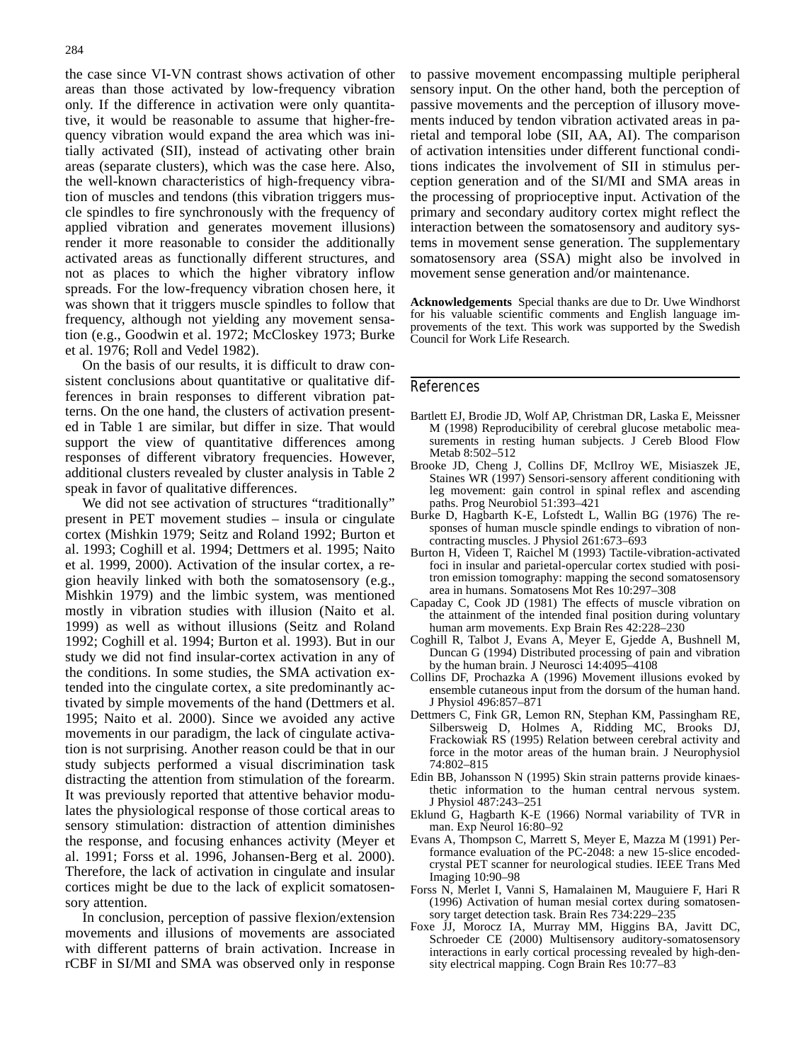the case since VI-VN contrast shows activation of other areas than those activated by low-frequency vibration only. If the difference in activation were only quantitative, it would be reasonable to assume that higher-frequency vibration would expand the area which was initially activated (SII), instead of activating other brain areas (separate clusters), which was the case here. Also, the well-known characteristics of high-frequency vibration of muscles and tendons (this vibration triggers muscle spindles to fire synchronously with the frequency of applied vibration and generates movement illusions) render it more reasonable to consider the additionally activated areas as functionally different structures, and not as places to which the higher vibratory inflow spreads. For the low-frequency vibration chosen here, it was shown that it triggers muscle spindles to follow that frequency, although not yielding any movement sensation (e.g., Goodwin et al. 1972; McCloskey 1973; Burke et al. 1976; Roll and Vedel 1982).

On the basis of our results, it is difficult to draw consistent conclusions about quantitative or qualitative differences in brain responses to different vibration patterns. On the one hand, the clusters of activation presented in Table 1 are similar, but differ in size. That would support the view of quantitative differences among responses of different vibratory frequencies. However, additional clusters revealed by cluster analysis in Table 2 speak in favor of qualitative differences.

We did not see activation of structures "traditionally" present in PET movement studies – insula or cingulate cortex (Mishkin 1979; Seitz and Roland 1992; Burton et al. 1993; Coghill et al. 1994; Dettmers et al. 1995; Naito et al. 1999, 2000). Activation of the insular cortex, a region heavily linked with both the somatosensory (e.g., Mishkin 1979) and the limbic system, was mentioned mostly in vibration studies with illusion (Naito et al. 1999) as well as without illusions (Seitz and Roland 1992; Coghill et al. 1994; Burton et al. 1993). But in our study we did not find insular-cortex activation in any of the conditions. In some studies, the SMA activation extended into the cingulate cortex, a site predominantly activated by simple movements of the hand (Dettmers et al. 1995; Naito et al. 2000). Since we avoided any active movements in our paradigm, the lack of cingulate activation is not surprising. Another reason could be that in our study subjects performed a visual discrimination task distracting the attention from stimulation of the forearm. It was previously reported that attentive behavior modulates the physiological response of those cortical areas to sensory stimulation: distraction of attention diminishes the response, and focusing enhances activity (Meyer et al. 1991; Forss et al. 1996, Johansen-Berg et al. 2000). Therefore, the lack of activation in cingulate and insular cortices might be due to the lack of explicit somatosensory attention.

In conclusion, perception of passive flexion/extension movements and illusions of movements are associated with different patterns of brain activation. Increase in rCBF in SI/MI and SMA was observed only in response to passive movement encompassing multiple peripheral sensory input. On the other hand, both the perception of passive movements and the perception of illusory movements induced by tendon vibration activated areas in parietal and temporal lobe (SII, AA, AI). The comparison of activation intensities under different functional conditions indicates the involvement of SII in stimulus perception generation and of the SI/MI and SMA areas in the processing of proprioceptive input. Activation of the primary and secondary auditory cortex might reflect the interaction between the somatosensory and auditory systems in movement sense generation. The supplementary somatosensory area (SSA) might also be involved in movement sense generation and/or maintenance.

**Acknowledgements** Special thanks are due to Dr. Uwe Windhorst for his valuable scientific comments and English language improvements of the text. This work was supported by the Swedish Council for Work Life Research.

## References

- Bartlett EJ, Brodie JD, Wolf AP, Christman DR, Laska E, Meissner M (1998) Reproducibility of cerebral glucose metabolic measurements in resting human subjects. J Cereb Blood Flow Metab 8:502–512
- Brooke JD, Cheng J, Collins DF, McIlroy WE, Misiaszek JE, Staines WR (1997) Sensori-sensory afferent conditioning with leg movement: gain control in spinal reflex and ascending paths. Prog Neurobiol 51:393–421
- Burke D, Hagbarth K-E, Lofstedt L, Wallin BG (1976) The responses of human muscle spindle endings to vibration of noncontracting muscles. J Physiol 261:673–693
- Burton H, Videen T, Raichel M (1993) Tactile-vibration-activated foci in insular and parietal-opercular cortex studied with positron emission tomography: mapping the second somatosensory area in humans. Somatosens Mot Res 10:297–308
- Capaday C, Cook JD (1981) The effects of muscle vibration on the attainment of the intended final position during voluntary human arm movements. Exp Brain Res 42:228–230
- Coghill R, Talbot J, Evans A, Meyer E, Gjedde A, Bushnell M, Duncan G (1994) Distributed processing of pain and vibration by the human brain. J Neurosci 14:4095–4108
- Collins DF, Prochazka A (1996) Movement illusions evoked by ensemble cutaneous input from the dorsum of the human hand. J Physiol 496:857–871
- Dettmers C, Fink GR, Lemon RN, Stephan KM, Passingham RE, Silbersweig D, Holmes A, Ridding MC, Brooks DJ, Frackowiak RS (1995) Relation between cerebral activity and force in the motor areas of the human brain. J Neurophysiol 74:802–815
- Edin BB, Johansson N (1995) Skin strain patterns provide kinaesthetic information to the human central nervous system. J Physiol 487:243–251
- Eklund G, Hagbarth K-E (1966) Normal variability of TVR in man. Exp Neurol 16:80–92
- Evans A, Thompson C, Marrett S, Meyer E, Mazza M (1991) Performance evaluation of the PC-2048: a new 15-slice encodedcrystal PET scanner for neurological studies. IEEE Trans Med Imaging 10:90–98
- Forss N, Merlet I, Vanni S, Hamalainen M, Mauguiere F, Hari R (1996) Activation of human mesial cortex during somatosensory target detection task. Brain Res 734:229–235
- Foxe JJ, Morocz IA, Murray MM, Higgins BA, Javitt DC, Schroeder CE (2000) Multisensory auditory-somatosensory interactions in early cortical processing revealed by high-density electrical mapping. Cogn Brain Res 10:77–83